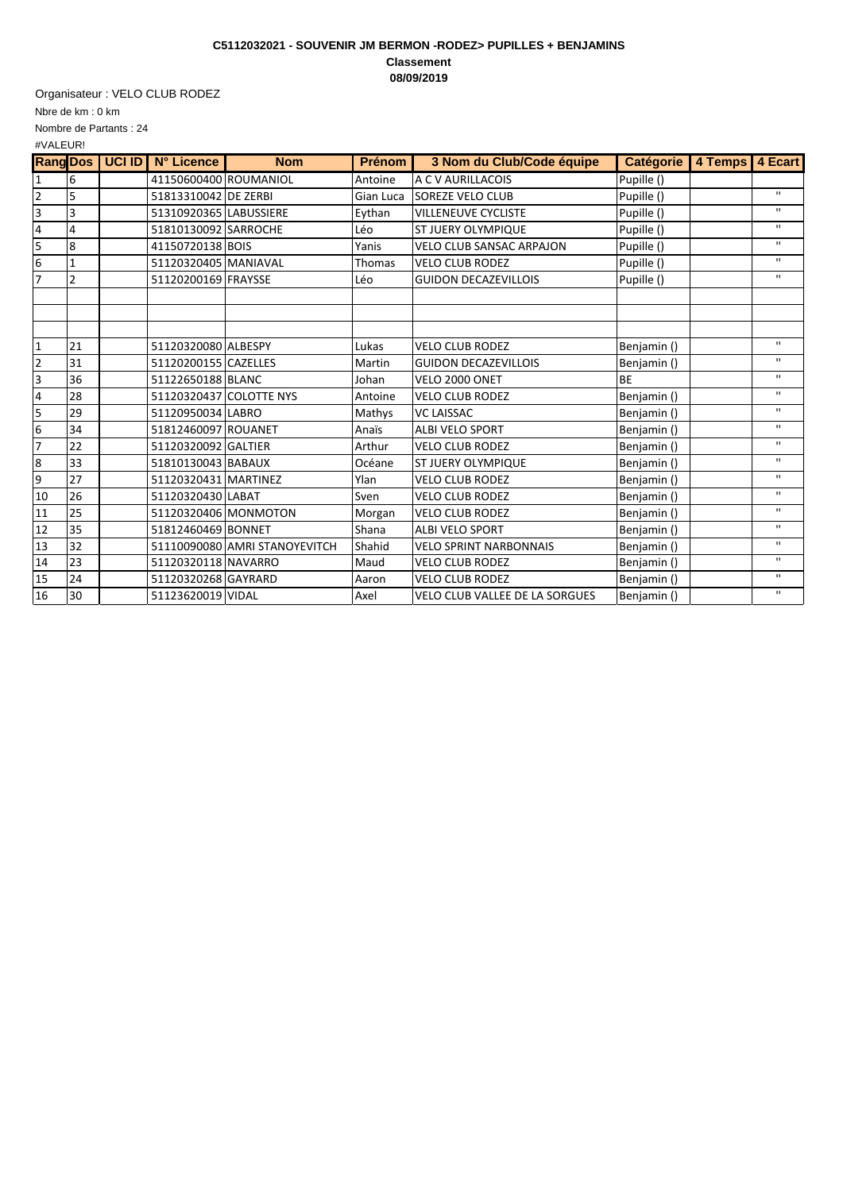## **C5112032021 - SOUVENIR JM BERMON -RODEZ> PUPILLES + BENJAMINS Classement 08/09/2019**

Organisateur : VELO CLUB RODEZ

Nbre de km : 0 km Nombre de Partants : 24

#VALEUR!

| <b>Rang Dos</b>         |                | UCI ID | N° Licence              | <b>Nom</b>                    | <b>Prénom</b> | 3 Nom du Club/Code équipe             | Catégorie   | 4 Temps 4 Ecart |              |
|-------------------------|----------------|--------|-------------------------|-------------------------------|---------------|---------------------------------------|-------------|-----------------|--------------|
| 1                       | 6              |        | 41150600400 ROUMANIOL   |                               | Antoine       | A C V AURILLACOIS                     | Pupille ()  |                 |              |
| $\overline{2}$          | 5              |        | 51813310042 DE ZERBI    |                               | Gian Luca     | <b>SOREZE VELO CLUB</b>               | Pupille ()  |                 | $\mathbf{H}$ |
| 3                       | 3              |        | 51310920365 LABUSSIERE  |                               | Eythan        | <b>VILLENEUVE CYCLISTE</b>            | Pupille ()  |                 | $\mathbf{H}$ |
| $\overline{4}$          | 4              |        | 51810130092 SARROCHE    |                               | Léo           | ST JUERY OLYMPIQUE                    | Pupille ()  |                 | $\mathbf{H}$ |
| 5                       | 8              |        | 41150720138 BOIS        |                               | Yanis         | <b>VELO CLUB SANSAC ARPAJON</b>       | Pupille ()  |                 | $\mathbf{H}$ |
| 6                       | 1              |        | 51120320405 MANIAVAL    |                               | Thomas        | <b>VELO CLUB RODEZ</b>                | Pupille ()  |                 | $\mathbf{H}$ |
| 7                       | $\overline{2}$ |        | 51120200169 FRAYSSE     |                               | Léo           | <b>GUIDON DECAZEVILLOIS</b>           | Pupille ()  |                 | $\mathbf{H}$ |
|                         |                |        |                         |                               |               |                                       |             |                 |              |
|                         |                |        |                         |                               |               |                                       |             |                 |              |
|                         |                |        |                         |                               |               |                                       |             |                 |              |
| $\mathbf{1}$            | 21             |        | 51120320080 ALBESPY     |                               | Lukas         | <b>VELO CLUB RODEZ</b>                | Benjamin () |                 | $\mathbf{H}$ |
| $\overline{\mathbf{c}}$ | 31             |        | 51120200155 CAZELLES    |                               | Martin        | <b>GUIDON DECAZEVILLOIS</b>           | Benjamin () |                 | $\mathbf{H}$ |
| 3                       | 36             |        | 51122650188 BLANC       |                               | Johan         | VELO 2000 ONET                        | <b>BF</b>   |                 | $\mathbf{H}$ |
| 4                       | 28             |        | 51120320437 COLOTTE NYS |                               | Antoine       | <b>VELO CLUB RODEZ</b>                | Benjamin () |                 | $\mathbf{H}$ |
| 5                       | 29             |        | 51120950034 LABRO       |                               | Mathys        | <b>VC LAISSAC</b>                     | Benjamin () |                 | $\mathbf{H}$ |
| 6                       | 34             |        | 51812460097 ROUANET     |                               | Anaïs         | <b>ALBI VELO SPORT</b>                | Benjamin () |                 | $\mathbf{H}$ |
| $\overline{7}$          | 22             |        | 51120320092 GALTIER     |                               | Arthur        | <b>VELO CLUB RODEZ</b>                | Benjamin () |                 | $\mathbf{H}$ |
| 8                       | 33             |        | 51810130043 BABAUX      |                               | Océane        | ST JUERY OLYMPIQUE                    | Benjamin () |                 | $\mathbf{H}$ |
| 9                       | 27             |        | 51120320431 MARTINEZ    |                               | Ylan          | <b>VELO CLUB RODEZ</b>                | Benjamin () |                 | $\mathbf{H}$ |
| 10                      | 26             |        | 51120320430 LABAT       |                               | Sven          | <b>VELO CLUB RODEZ</b>                | Benjamin () |                 | $\mathbf{H}$ |
| 11                      | 25             |        | 51120320406 MONMOTON    |                               | Morgan        | <b>VELO CLUB RODEZ</b>                | Benjamin () |                 | $\mathbf{H}$ |
| 12                      | 35             |        | 51812460469 BONNET      |                               | Shana         | <b>ALBI VELO SPORT</b>                | Benjamin () |                 | $\mathbf{H}$ |
| 13                      | 32             |        |                         | 51110090080 AMRI STANOYEVITCH | Shahid        | <b>VELO SPRINT NARBONNAIS</b>         | Benjamin () |                 | $\mathbf{H}$ |
| 14                      | 23             |        | 51120320118 NAVARRO     |                               | Maud          | <b>VELO CLUB RODEZ</b>                | Benjamin () |                 | $\mathbf{H}$ |
| 15                      | 24             |        | 51120320268 GAYRARD     |                               | Aaron         | <b>VELO CLUB RODEZ</b>                | Benjamin () |                 | $\mathbf{H}$ |
| 16                      | 30             |        | 51123620019 VIDAL       |                               | Axel          | <b>VELO CLUB VALLEE DE LA SORGUES</b> | Benjamin () |                 | $\mathbf{H}$ |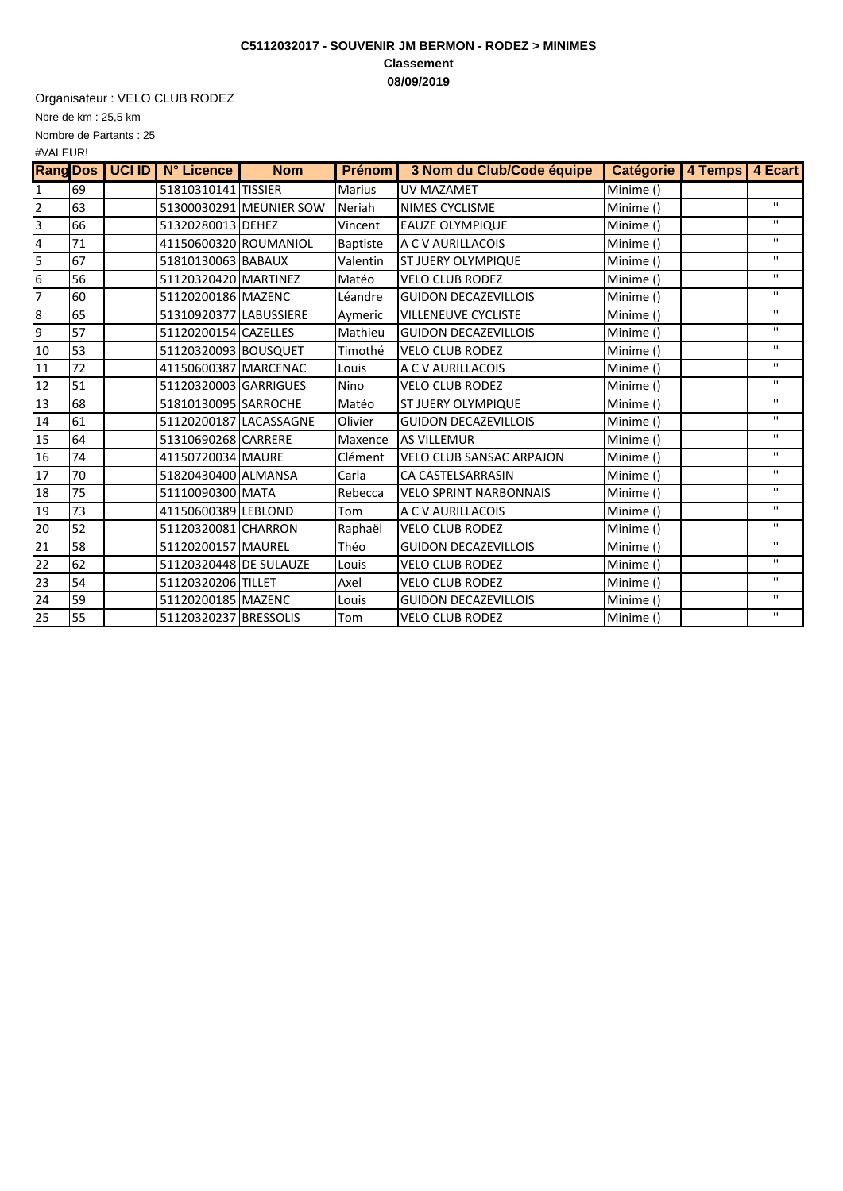## **C5112032017 - SOUVENIR JM BERMON - RODEZ > MINIMES Classement 08/09/2019**

Organisateur : VELO CLUB RODEZ

Nbre de km : 25,5 km #VALEUR! Nombre de Partants : 25

|                  |    | <b>Rang Dos   UCI ID   N° Licence</b> | <b>Nom</b>              | <b>Prénom</b>   | 3 Nom du Club/Code équipe       | Catégorie   4 Temps   4 Ecart |                |
|------------------|----|---------------------------------------|-------------------------|-----------------|---------------------------------|-------------------------------|----------------|
| 1                | 69 | 51810310141 TISSIER                   |                         | <b>Marius</b>   | <b>UV MAZAMET</b>               | Minime ()                     |                |
| $\overline{2}$   | 63 |                                       | 51300030291 MEUNIER SOW | Neriah          | NIMES CYCLISME                  | Minime ()                     | $\blacksquare$ |
| 3                | 66 | 51320280013 DEHEZ                     |                         | Vincent         | <b>EAUZE OLYMPIQUE</b>          | Minime ()                     | $\mathbf{H}$   |
| $\overline{4}$   | 71 | 41150600320 ROUMANIOL                 |                         | <b>Baptiste</b> | A C V AURILLACOIS               | Minime ()                     | $\mathbf{H}$   |
| 5                | 67 | 51810130063 BABAUX                    |                         | Valentin        | <b>ST JUERY OLYMPIQUE</b>       | Minime ()                     | $\blacksquare$ |
| $\sqrt{6}$       | 56 | 51120320420 MARTINEZ                  |                         | Matéo           | <b>VELO CLUB RODEZ</b>          | Minime ()                     | $\mathbf{H}$   |
| 7                | 60 | 51120200186 MAZENC                    |                         | Léandre         | <b>GUIDON DECAZEVILLOIS</b>     | Minime ()                     | $\mathbf{H}$   |
| $\boldsymbol{8}$ | 65 | 51310920377 LABUSSIERE                |                         | Aymeric         | <b>VILLENEUVE CYCLISTE</b>      | Minime ()                     | $\mathbf{H}$   |
| $\overline{9}$   | 57 | 51120200154 CAZELLES                  |                         | Mathieu         | <b>GUIDON DECAZEVILLOIS</b>     | Minime ()                     | $\mathbf{H}$   |
| 10               | 53 | 51120320093 BOUSQUET                  |                         | Timothé         | <b>VELO CLUB RODEZ</b>          | Minime ()                     | $\mathbf{H}$   |
| 11               | 72 | 41150600387 MARCENAC                  |                         | Louis           | A C V AURILLACOIS               | Minime ()                     | $\mathbf{H}$   |
| 12               | 51 | 51120320003 GARRIGUES                 |                         | <b>Nino</b>     | <b>VELO CLUB RODEZ</b>          | Minime ()                     | $\mathbf{H}$   |
| 13               | 68 | 51810130095 SARROCHE                  |                         | Matéo           | <b>ST JUERY OLYMPIQUE</b>       | Minime ()                     | $\mathbf{H}$   |
| 14               | 61 | 51120200187 LACASSAGNE                |                         | Olivier         | <b>GUIDON DECAZEVILLOIS</b>     | Minime ()                     | $\blacksquare$ |
| 15               | 64 | 51310690268 CARRERE                   |                         | Maxence         | <b>AS VILLEMUR</b>              | Minime ()                     | $\mathbf{H}$   |
| 16               | 74 | 41150720034 MAURE                     |                         | Clément         | <b>VELO CLUB SANSAC ARPAJON</b> | Minime ()                     | $\mathbf{H}$   |
| 17               | 70 | 51820430400 ALMANSA                   |                         | Carla           | CA CASTELSARRASIN               | Minime ()                     | $\mathbf{H}$   |
| 18               | 75 | 51110090300 MATA                      |                         | Rebecca         | <b>VELO SPRINT NARBONNAIS</b>   | Minime ()                     | $\mathbf{H}$   |
| 19               | 73 | 41150600389 LEBLOND                   |                         | Tom             | A C V AURILLACOIS               | Minime ()                     | $\mathbf{H}$   |
| 20               | 52 | 51120320081 CHARRON                   |                         | Raphaël         | <b>VELO CLUB RODEZ</b>          | Minime ()                     | $\mathbf{H}$   |
| 21               | 58 | 51120200157 MAUREL                    |                         | Théo            | <b>GUIDON DECAZEVILLOIS</b>     | Minime ()                     | $\mathbf{H}$   |
| 22               | 62 | 51120320448 DE SULAUZE                |                         | Louis           | <b>VELO CLUB RODEZ</b>          | Minime ()                     | $\mathbf{H}$   |
| 23               | 54 | 51120320206 TILLET                    |                         | Axel            | <b>VELO CLUB RODEZ</b>          | Minime ()                     | $\mathbf{H}$   |
| 24               | 59 | 51120200185 MAZENC                    |                         | Louis           | <b>GUIDON DECAZEVILLOIS</b>     | Minime ()                     | $\mathbf{H}$   |
| 25               | 55 | 51120320237 BRESSOLIS                 |                         | Tom             | <b>VELO CLUB RODEZ</b>          | Minime ()                     | $\mathbf{H}$   |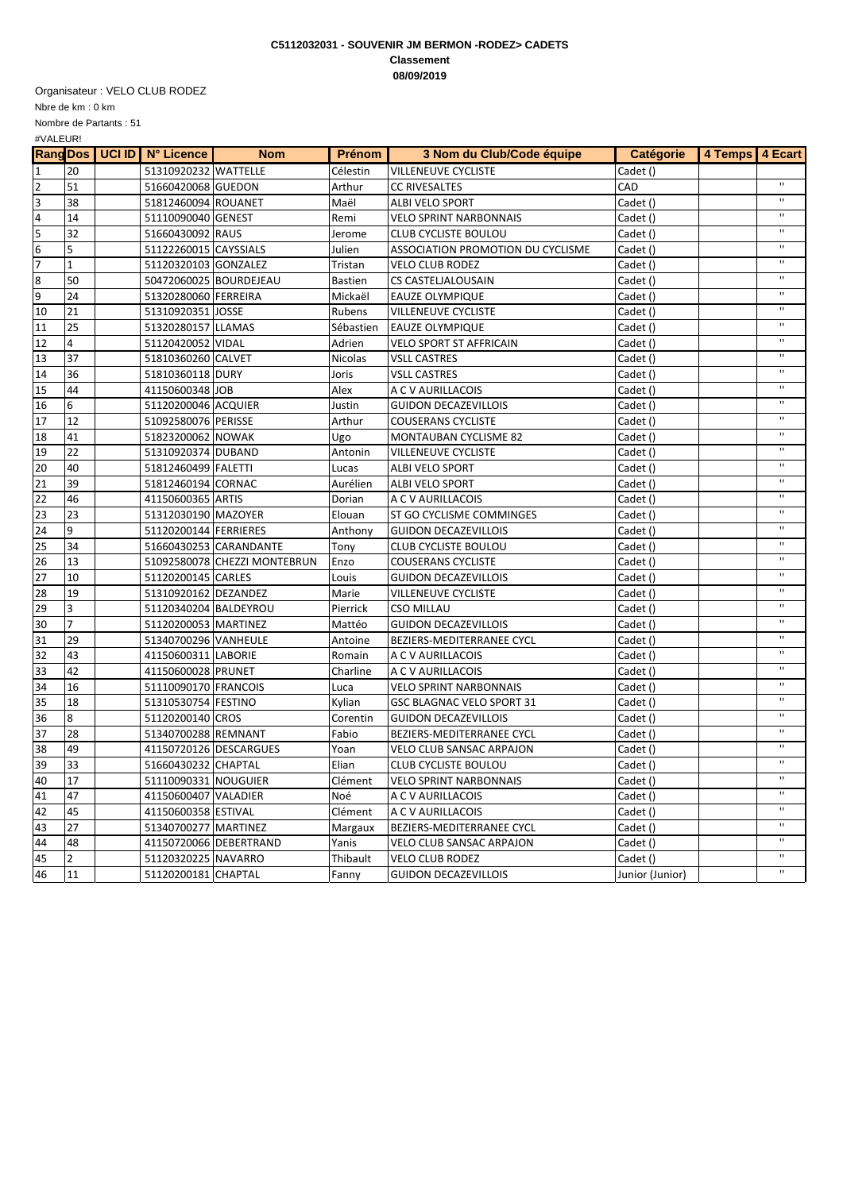## **C5112032031 - SOUVENIR JM BERMON -RODEZ> CADETS Classement 08/09/2019**

Nbre de km : 0 km Organisateur : VELO CLUB RODEZ Nombre de Partants : 51

#VALEUR!

|                         |                | <b>Rang Dos   UCI ID   N° Licence</b> | <b>Nom</b>                   | <b>Prénom</b>  | 3 Nom du Club/Code équipe         | Catégorie       | 4 Temps   4 Ecart |                         |
|-------------------------|----------------|---------------------------------------|------------------------------|----------------|-----------------------------------|-----------------|-------------------|-------------------------|
| $\mathbf{1}$            | 20             | 51310920232 WATTELLE                  |                              | Célestin       | <b>VILLENEUVE CYCLISTE</b>        | Cadet()         |                   |                         |
| $\mathbf 2$             | 51             | 51660420068 GUEDON                    |                              | Arthur         | <b>CC RIVESALTES</b>              | CAD             |                   | $\mathbf{u}$            |
| $\overline{\mathbf{3}}$ | 38             | 51812460094 ROUANET                   |                              | Maël           | ALBI VELO SPORT                   | Cadet()         |                   | $\mathbf{H}$            |
| $\overline{4}$          | 14             | 51110090040 GENEST                    |                              | Remi           | <b>VELO SPRINT NARBONNAIS</b>     | Cadet()         |                   | $\mathbf{H}$            |
| 5                       | 32             | 51660430092 RAUS                      |                              | Jerome         | <b>CLUB CYCLISTE BOULOU</b>       | Cadet ()        |                   | $\mathbf{H}$            |
| 6                       | 5              | 51122260015 CAYSSIALS                 |                              | Julien         | ASSOCIATION PROMOTION DU CYCLISME | Cadet ()        |                   | H.                      |
| $\overline{7}$          | $\mathbf{1}$   | 51120320103 GONZALEZ                  |                              | Tristan        | <b>VELO CLUB RODEZ</b>            | Cadet ()        |                   | $\overline{u}$          |
| $\bf 8$                 | 50             |                                       | 50472060025 BOURDEJEAU       | <b>Bastien</b> | CS CASTELJALOUSAIN                | Cadet ()        |                   | n                       |
| $\overline{9}$          | 24             | 51320280060 FERREIRA                  |                              | Mickaël        | EAUZE OLYMPIQUE                   | Cadet ()        |                   | $\mathbf{H}$            |
| 10                      | 21             | 51310920351 JOSSE                     |                              | Rubens         | <b>VILLENEUVE CYCLISTE</b>        | Cadet ()        |                   | п                       |
| $\overline{11}$         | 25             | 51320280157 LLAMAS                    |                              | Sébastien      | <b>EAUZE OLYMPIQUE</b>            | Cadet()         |                   | $\mathbf{H}$            |
| 12                      | 4              | 51120420052 VIDAL                     |                              | Adrien         | <b>VELO SPORT ST AFFRICAIN</b>    | Cadet ()        |                   | $\mathbf{H}$            |
| 13                      | 37             | 51810360260 CALVET                    |                              | Nicolas        | <b>VSLL CASTRES</b>               | Cadet ()        |                   | H.                      |
| 14                      | 36             | 51810360118 DURY                      |                              | Joris          | <b>VSLL CASTRES</b>               | Cadet()         |                   | $\overline{\mathbf{u}}$ |
| 15                      | 44             | 41150600348 JOB                       |                              | Alex           | A C V AURILLACOIS                 | Cadet()         |                   | $\mathbf{H}$            |
| 16                      | 6              | 51120200046 ACQUIER                   |                              | Justin         | <b>GUIDON DECAZEVILLOIS</b>       | Cadet ()        |                   | п                       |
| 17                      | 12             | 51092580076 PERISSE                   |                              | Arthur         | <b>COUSERANS CYCLISTE</b>         | Cadet ()        |                   | $\mathbf{H}$            |
| 18                      | 41             | 51823200062 NOWAK                     |                              | Ugo            | MONTAUBAN CYCLISME 82             | Cadet ()        |                   | $\mathbf{H}$            |
| 19                      | 22             | 51310920374 DUBAND                    |                              | Antonin        | <b>VILLENEUVE CYCLISTE</b>        | Cadet ()        |                   | $\overline{u}$          |
| 20                      | 40             | 51812460499 FALETTI                   |                              | Lucas          | ALBI VELO SPORT                   | Cadet()         |                   | $\mathbf{H}$            |
| 21                      | 39             | 51812460194 CORNAC                    |                              | Aurélien       | ALBI VELO SPORT                   | Cadet()         |                   | $\mathbf{H}$            |
| 22                      | 46             | 41150600365 ARTIS                     |                              | Dorian         | A C V AURILLACOIS                 | Cadet ()        |                   | $\mathbf{H}$            |
| 23                      | 23             | 51312030190 MAZOYER                   |                              | Elouan         | ST GO CYCLISME COMMINGES          | Cadet()         |                   | $\mathbf{H}$            |
| 24                      | 9              | 51120200144 FERRIERES                 |                              | Anthony        | <b>GUIDON DECAZEVILLOIS</b>       | Cadet ()        |                   | $\mathbf{H}$            |
| 25                      | 34             |                                       | 51660430253 CARANDANTE       | Tony           | <b>CLUB CYCLISTE BOULOU</b>       | Cadet ()        |                   | π                       |
| 26                      | 13             |                                       | 51092580078 CHEZZI MONTEBRUN | Enzo           | <b>COUSERANS CYCLISTE</b>         | Cadet ()        |                   | $\mathbf{H}$            |
| 27                      | 10             | 51120200145 CARLES                    |                              | Louis          | <b>GUIDON DECAZEVILLOIS</b>       | Cadet()         |                   | $\mathbf{H}$            |
| 28                      | 19             | 51310920162 DEZANDEZ                  |                              | Marie          | <b>VILLENEUVE CYCLISTE</b>        | Cadet ()        |                   | $\mathbf{u}$            |
| 29                      | 3              | 51120340204 BALDEYROU                 |                              | Pierrick       | <b>CSO MILLAU</b>                 | Cadet()         |                   | $\mathbf{H}$            |
| 30                      | $\overline{7}$ | 51120200053 MARTINEZ                  |                              | Mattéo         | <b>GUIDON DECAZEVILLOIS</b>       | Cadet ()        |                   | $\mathbf{H}$            |
| 31                      | 29             | 51340700296 VANHEULE                  |                              | Antoine        | BEZIERS-MEDITERRANEE CYCL         | Cadet ()        |                   | $\overline{\mathbf{u}}$ |
| 32                      | 43             | 41150600311 LABORIE                   |                              | Romain         | A C V AURILLACOIS                 | Cadet()         |                   | $\mathbf{u}$            |
| 33                      | 42             | 41150600028 PRUNET                    |                              | Charline       | A C V AURILLACOIS                 | Cadet()         |                   | $\mathbf{H}$            |
| 34                      | 16             | 51110090170 FRANCOIS                  |                              | Luca           | <b>VELO SPRINT NARBONNAIS</b>     | Cadet()         |                   | $\mathbf{H}$            |
| 35                      | 18             | 51310530754 FESTINO                   |                              | Kylian         | GSC BLAGNAC VELO SPORT 31         | Cadet()         |                   | $\mathbf{H}$            |
| 36                      | 8              | 51120200140 CROS                      |                              | Corentin       | <b>GUIDON DECAZEVILLOIS</b>       | Cadet()         |                   | $\mathbf{H}$            |
| 37                      | 28             | 51340700288 REMNANT                   |                              | Fabio          | BEZIERS-MEDITERRANEE CYCL         | Cadet()         |                   | $\mathbf{H}$            |
| 38                      | 49             |                                       | 41150720126 DESCARGUES       | Yoan           | VELO CLUB SANSAC ARPAJON          | Cadet ()        |                   | $\mathbf{H}$            |
| 39                      | 33             | 51660430232 CHAPTAL                   |                              | Elian          | <b>CLUB CYCLISTE BOULOU</b>       | Cadet ()        |                   | $\mathbf{H}$            |
| 40                      | 17             | 51110090331 NOUGUIER                  |                              | Clément        | <b>VELO SPRINT NARBONNAIS</b>     | Cadet()         |                   | $\overline{\mathbf{u}}$ |
| 41                      | 47             | 41150600407 VALADIER                  |                              | Noé            | A C V AURILLACOIS                 | Cadet ()        |                   | $\mathbf{H}$            |
| 42                      | 45             | 41150600358 ESTIVAL                   |                              | Clément        | A C V AURILLACOIS                 | Cadet()         |                   | $\mathbf{H}$            |
| 43                      | 27             | 51340700277 MARTINEZ                  |                              | Margaux        | BEZIERS-MEDITERRANEE CYCL         | Cadet()         |                   | $\mathbf{H}$            |
| 44                      | 48             |                                       | 41150720066 DEBERTRAND       | Yanis          | <b>VELO CLUB SANSAC ARPAJON</b>   | Cadet()         |                   | $\mathbf{u}$            |
| 45                      | $\overline{2}$ | 51120320225 NAVARRO                   |                              | Thibault       | <b>VELO CLUB RODEZ</b>            | Cadet()         |                   | п                       |
| 46                      | 11             | 51120200181 CHAPTAL                   |                              | Fanny          | <b>GUIDON DECAZEVILLOIS</b>       | Junior (Junior) |                   | H.                      |